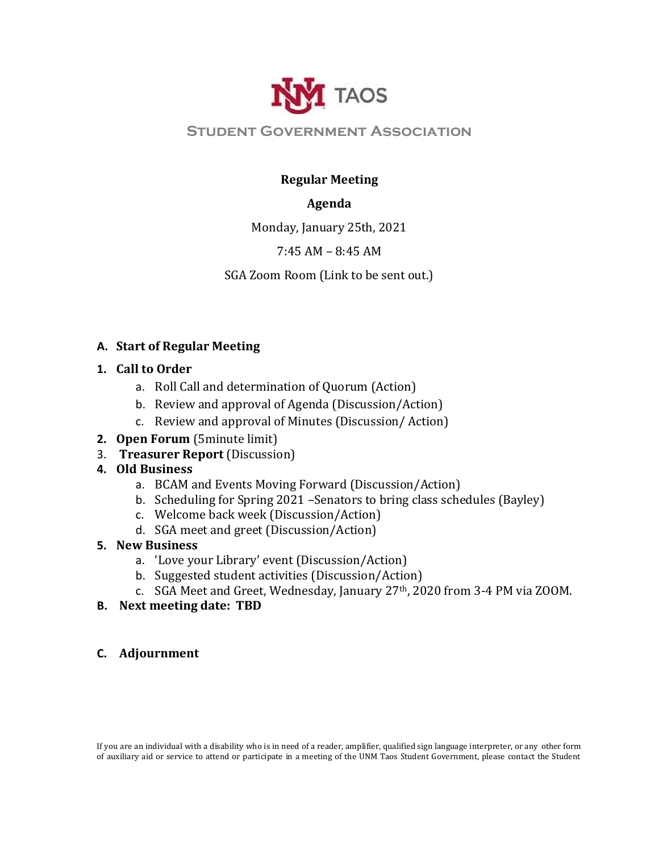

## **Student Government Association**

## **Regular Meeting**

### **Agenda**

Monday, January 25th, 2021

### 7:45 AM – 8:45 AM

SGA Zoom Room (Link to be sent out.)

### **A. Start of Regular Meeting**

#### **1. Call to Order**

- a. Roll Call and determination of Quorum (Action)
- b. Review and approval of Agenda (Discussion/Action)
- c. Review and approval of Minutes (Discussion/ Action)
- **2. Open Forum** (5minute limit)
- 3. **Treasurer Report** (Discussion)

# **4. Old Business**

- a. BCAM and Events Moving Forward (Discussion/Action)
- b. Scheduling for Spring 2021 –Senators to bring class schedules (Bayley)
- c. Welcome back week (Discussion/Action)
- d. SGA meet and greet (Discussion/Action)

# **5. New Business**

- a. 'Love your Library' event (Discussion/Action)
- b. Suggested student activities (Discussion/Action)
- c. SGA Meet and Greet, Wednesday, January 27th, 2020 from 3-4 PM via ZOOM.
- **B. Next meeting date: TBD**
- **C. Adjournment**